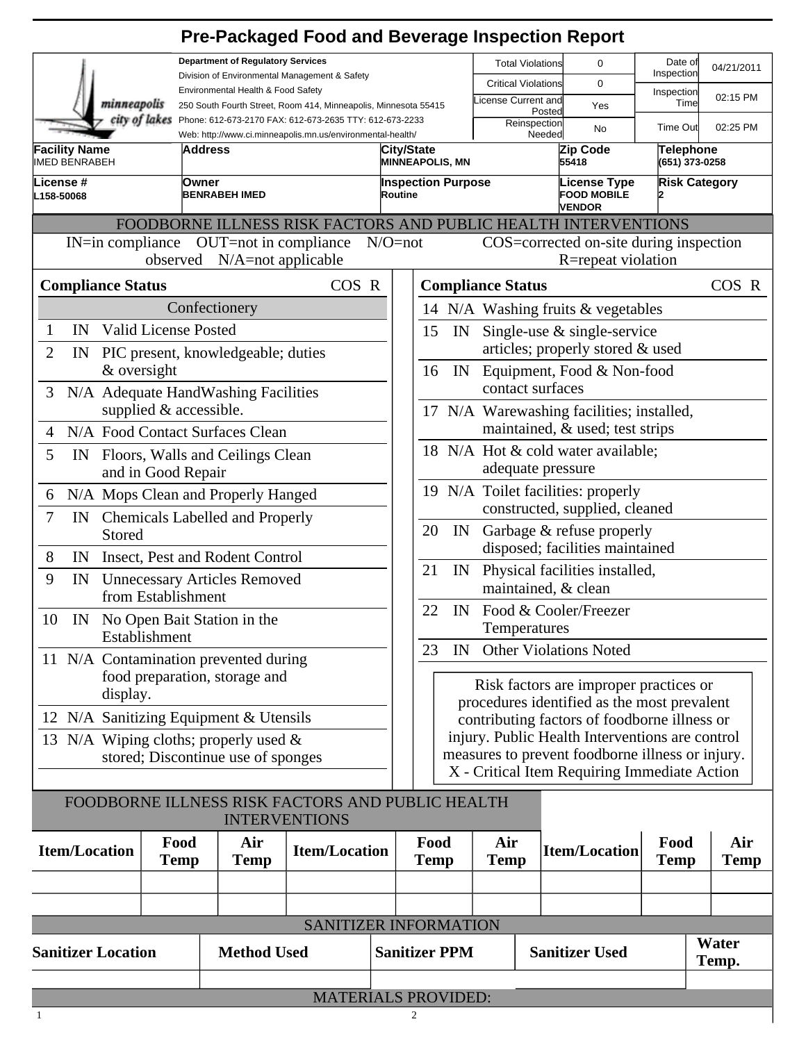|                                                                                                                    |                                        | <b>Pre-Packaged Food and Beverage Inspection Report</b>                                                                                                |                      |                                                                                                                                               |                                                                                                     |                                        |             |                                  |                                                            |                                    |       |             |
|--------------------------------------------------------------------------------------------------------------------|----------------------------------------|--------------------------------------------------------------------------------------------------------------------------------------------------------|----------------------|-----------------------------------------------------------------------------------------------------------------------------------------------|-----------------------------------------------------------------------------------------------------|----------------------------------------|-------------|----------------------------------|------------------------------------------------------------|------------------------------------|-------|-------------|
|                                                                                                                    |                                        | <b>Department of Regulatory Services</b>                                                                                                               |                      |                                                                                                                                               |                                                                                                     |                                        |             | <b>Total Violations</b>          | 0                                                          | Date of                            |       | 04/21/2011  |
|                                                                                                                    |                                        | Division of Environmental Management & Safety<br>Environmental Health & Food Safety<br>250 South Fourth Street, Room 414, Minneapolis, Minnesota 55415 |                      |                                                                                                                                               |                                                                                                     |                                        |             | <b>Critical Violations</b>       | $\Omega$                                                   | Inspection                         |       |             |
|                                                                                                                    | minneapolis                            |                                                                                                                                                        |                      |                                                                                                                                               |                                                                                                     |                                        |             | icense Current and               | Yes                                                        | Inspection<br>Time                 |       | 02:15 PM    |
|                                                                                                                    | city of lakes                          | Phone: 612-673-2170 FAX: 612-673-2635 TTY: 612-673-2233<br>Web: http://www.ci.minneapolis.mn.us/environmental-health/                                  |                      |                                                                                                                                               |                                                                                                     |                                        |             | Posted<br>Reinspection<br>Needed | <b>No</b>                                                  | <b>Time Out</b>                    |       | 02:25 PM    |
| <b>Facility Name</b><br><b>IMED BENRABEH</b>                                                                       |                                        | lAddress                                                                                                                                               |                      |                                                                                                                                               | City/State<br><b>MINNEAPOLIS, MN</b>                                                                |                                        |             |                                  | Zip Code<br>55418                                          | <b>Telephone</b><br>(651) 373-0258 |       |             |
| License #<br>L158-50068                                                                                            |                                        | <b>lOwner</b><br><b>BENRABEH IMED</b>                                                                                                                  |                      | Routine                                                                                                                                       | <b>Inspection Purpose</b>                                                                           |                                        |             |                                  | <b>License Type</b><br><b>FOOD MOBILE</b><br><b>VENDOR</b> | <b>Risk Category</b>               |       |             |
|                                                                                                                    |                                        | FOODBORNE ILLNESS RISK FACTORS AND PUBLIC HEALTH INTERVENTIONS                                                                                         |                      |                                                                                                                                               |                                                                                                     |                                        |             |                                  |                                                            |                                    |       |             |
| $IN=\infty$ in compliance $OUT=\text{not}$ in compliance<br>$N/O = not$<br>COS=corrected on-site during inspection |                                        |                                                                                                                                                        |                      |                                                                                                                                               |                                                                                                     |                                        |             |                                  |                                                            |                                    |       |             |
| observed N/A=not applicable                                                                                        |                                        |                                                                                                                                                        |                      |                                                                                                                                               |                                                                                                     | R=repeat violation                     |             |                                  |                                                            |                                    |       |             |
| <b>Compliance Status</b>                                                                                           |                                        | COS R                                                                                                                                                  |                      |                                                                                                                                               | <b>Compliance Status</b>                                                                            |                                        |             |                                  | COS R                                                      |                                    |       |             |
|                                                                                                                    |                                        | Confectionery                                                                                                                                          |                      |                                                                                                                                               | 14 N/A Washing fruits & vegetables                                                                  |                                        |             |                                  |                                                            |                                    |       |             |
| $\mathbf{1}$<br>IN                                                                                                 | Valid License Posted                   |                                                                                                                                                        |                      |                                                                                                                                               | Single-use $\&$ single-service<br>15<br>IN                                                          |                                        |             |                                  |                                                            |                                    |       |             |
| $\overline{2}$<br>IN                                                                                               |                                        | PIC present, knowledgeable; duties                                                                                                                     |                      |                                                                                                                                               |                                                                                                     |                                        |             |                                  | articles; properly stored & used                           |                                    |       |             |
|                                                                                                                    | & oversight                            |                                                                                                                                                        |                      |                                                                                                                                               | 16<br>IN<br>Equipment, Food & Non-food                                                              |                                        |             |                                  |                                                            |                                    |       |             |
| 3                                                                                                                  |                                        | N/A Adequate HandWashing Facilities                                                                                                                    |                      |                                                                                                                                               |                                                                                                     |                                        |             | contact surfaces                 |                                                            |                                    |       |             |
|                                                                                                                    | supplied & accessible.                 |                                                                                                                                                        |                      |                                                                                                                                               |                                                                                                     |                                        |             |                                  | 17 N/A Warewashing facilities; installed,                  |                                    |       |             |
| $\overline{4}$                                                                                                     | N/A Food Contact Surfaces Clean        |                                                                                                                                                        |                      |                                                                                                                                               | maintained, & used; test strips                                                                     |                                        |             |                                  |                                                            |                                    |       |             |
| 5<br>IN                                                                                                            | Floors, Walls and Ceilings Clean       |                                                                                                                                                        |                      |                                                                                                                                               | 18 N/A Hot & cold water available;                                                                  |                                        |             |                                  |                                                            |                                    |       |             |
|                                                                                                                    | and in Good Repair                     |                                                                                                                                                        |                      |                                                                                                                                               | adequate pressure                                                                                   |                                        |             |                                  |                                                            |                                    |       |             |
| N/A Mops Clean and Properly Hanged<br>6                                                                            |                                        |                                                                                                                                                        |                      |                                                                                                                                               | 19 N/A Toilet facilities: properly                                                                  |                                        |             |                                  |                                                            |                                    |       |             |
| 7                                                                                                                  | IN Chemicals Labelled and Properly     |                                                                                                                                                        |                      |                                                                                                                                               | constructed, supplied, cleaned                                                                      |                                        |             |                                  |                                                            |                                    |       |             |
| Stored                                                                                                             |                                        |                                                                                                                                                        |                      | Garbage & refuse properly<br>20<br>IN<br>disposed; facilities maintained<br>21<br>Physical facilities installed,<br>IN<br>maintained, & clean |                                                                                                     |                                        |             |                                  |                                                            |                                    |       |             |
| 8<br>IN                                                                                                            | Insect, Pest and Rodent Control        |                                                                                                                                                        |                      |                                                                                                                                               |                                                                                                     |                                        |             |                                  |                                                            |                                    |       |             |
| 9<br><b>Unnecessary Articles Removed</b><br>IN                                                                     |                                        |                                                                                                                                                        |                      |                                                                                                                                               |                                                                                                     |                                        |             |                                  |                                                            |                                    |       |             |
|                                                                                                                    | from Establishment                     |                                                                                                                                                        |                      |                                                                                                                                               |                                                                                                     |                                        |             |                                  |                                                            |                                    |       |             |
| 10 IN No Open Bait Station in the                                                                                  |                                        |                                                                                                                                                        |                      | 22<br>IN Food & Cooler/Freezer<br>Temperatures                                                                                                |                                                                                                     |                                        |             |                                  |                                                            |                                    |       |             |
|                                                                                                                    | Establishment                          |                                                                                                                                                        |                      |                                                                                                                                               | <b>Other Violations Noted</b><br>23<br>IN                                                           |                                        |             |                                  |                                                            |                                    |       |             |
|                                                                                                                    |                                        | 11 N/A Contamination prevented during                                                                                                                  |                      |                                                                                                                                               |                                                                                                     |                                        |             |                                  |                                                            |                                    |       |             |
|                                                                                                                    | food preparation, storage and          |                                                                                                                                                        |                      |                                                                                                                                               |                                                                                                     | Risk factors are improper practices or |             |                                  |                                                            |                                    |       |             |
|                                                                                                                    | display.                               |                                                                                                                                                        |                      |                                                                                                                                               | procedures identified as the most prevalent                                                         |                                        |             |                                  |                                                            |                                    |       |             |
|                                                                                                                    | 12 N/A Sanitizing Equipment & Utensils |                                                                                                                                                        |                      |                                                                                                                                               | contributing factors of foodborne illness or                                                        |                                        |             |                                  |                                                            |                                    |       |             |
|                                                                                                                    |                                        | 13 N/A Wiping cloths; properly used $\&$                                                                                                               |                      |                                                                                                                                               | injury. Public Health Interventions are control<br>measures to prevent foodborne illness or injury. |                                        |             |                                  |                                                            |                                    |       |             |
|                                                                                                                    |                                        | stored; Discontinue use of sponges                                                                                                                     |                      |                                                                                                                                               |                                                                                                     |                                        |             |                                  | X - Critical Item Requiring Immediate Action               |                                    |       |             |
|                                                                                                                    |                                        |                                                                                                                                                        |                      |                                                                                                                                               |                                                                                                     |                                        |             |                                  |                                                            |                                    |       |             |
|                                                                                                                    |                                        | FOODBORNE ILLNESS RISK FACTORS AND PUBLIC HEALTH                                                                                                       | <b>INTERVENTIONS</b> |                                                                                                                                               |                                                                                                     |                                        |             |                                  |                                                            |                                    |       |             |
| Food                                                                                                               |                                        | Air                                                                                                                                                    |                      |                                                                                                                                               |                                                                                                     | Food                                   |             | Air                              |                                                            | Food                               |       | Air         |
| <b>Item/Location</b>                                                                                               |                                        | <b>Temp</b><br><b>Temp</b>                                                                                                                             | <b>Item/Location</b> |                                                                                                                                               | <b>Temp</b>                                                                                         |                                        | <b>Temp</b> |                                  | <b>Item/Location</b>                                       | <b>Temp</b>                        |       | <b>Temp</b> |
|                                                                                                                    |                                        |                                                                                                                                                        |                      |                                                                                                                                               |                                                                                                     |                                        |             |                                  |                                                            |                                    |       |             |
|                                                                                                                    |                                        |                                                                                                                                                        |                      |                                                                                                                                               |                                                                                                     |                                        |             |                                  |                                                            |                                    |       |             |
| SANITIZER INFORMATION                                                                                              |                                        |                                                                                                                                                        |                      |                                                                                                                                               |                                                                                                     |                                        |             |                                  |                                                            |                                    |       |             |
| <b>Sanitizer Location</b>                                                                                          |                                        |                                                                                                                                                        |                      |                                                                                                                                               |                                                                                                     |                                        |             |                                  | <b>Sanitizer Used</b>                                      |                                    |       | Water       |
|                                                                                                                    |                                        | <b>Method Used</b>                                                                                                                                     |                      |                                                                                                                                               | <b>Sanitizer PPM</b>                                                                                |                                        |             |                                  |                                                            |                                    | Temp. |             |

| <b>MATERIALS PROVIDED:</b> |  |
|----------------------------|--|
|                            |  |